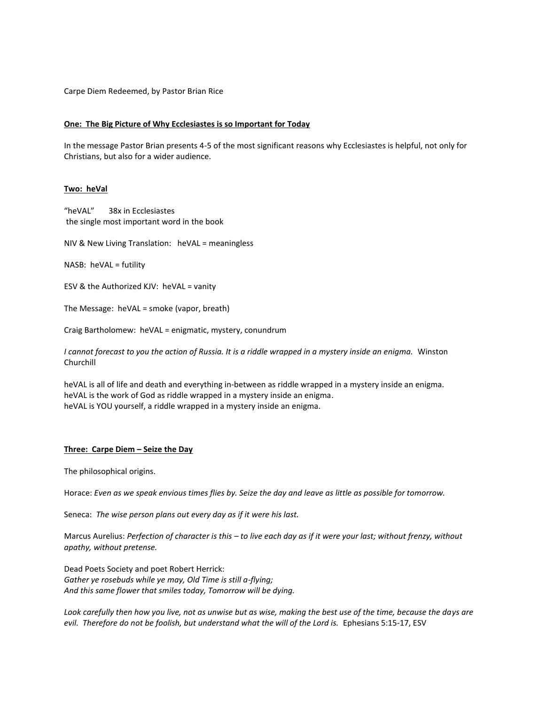Carpe Diem Redeemed, by Pastor Brian Rice

## **One: The Big Picture of Why Ecclesiastes is so Important for Today**

In the message Pastor Brian presents 4-5 of the most significant reasons why Ecclesiastes is helpful, not only for Christians, but also for a wider audience.

## **Two: heVal**

"heVAL" 38x in Ecclesiastes the single most important word in the book

NIV & New Living Translation: heVAL = meaningless

NASB: heVAL = futility

ESV & the Authorized KJV: heVAL = vanity

The Message: heVAL = smoke (vapor, breath)

Craig Bartholomew: heVAL = enigmatic, mystery, conundrum

*I cannot forecast to you the action of Russia. It is a riddle wrapped in a mystery inside an enigma.* Winston Churchill

heVAL is all of life and death and everything in-between as riddle wrapped in a mystery inside an enigma. heVAL is the work of God as riddle wrapped in a mystery inside an enigma. heVAL is YOU yourself, a riddle wrapped in a mystery inside an enigma.

## **Three: Carpe Diem – Seize the Day**

The philosophical origins.

Horace: *Even as we speak envious times flies by. Seize the day and leave as little as possible for tomorrow.*

Seneca: *The wise person plans out every day as if it were his last.*

Marcus Aurelius: *Perfection of character is this – to live each day as if it were your last; without frenzy, without apathy, without pretense.*

Dead Poets Society and poet Robert Herrick: *Gather ye rosebuds while ye may, Old Time is still a-flying; And this same flower that smiles today, Tomorrow will be dying.* 

*Look carefully then how you live, not as unwise but as wise, making the best use of the time, because the days are evil. Therefore do not be foolish, but understand what the will of the Lord is.* Ephesians 5:15-17, ESV